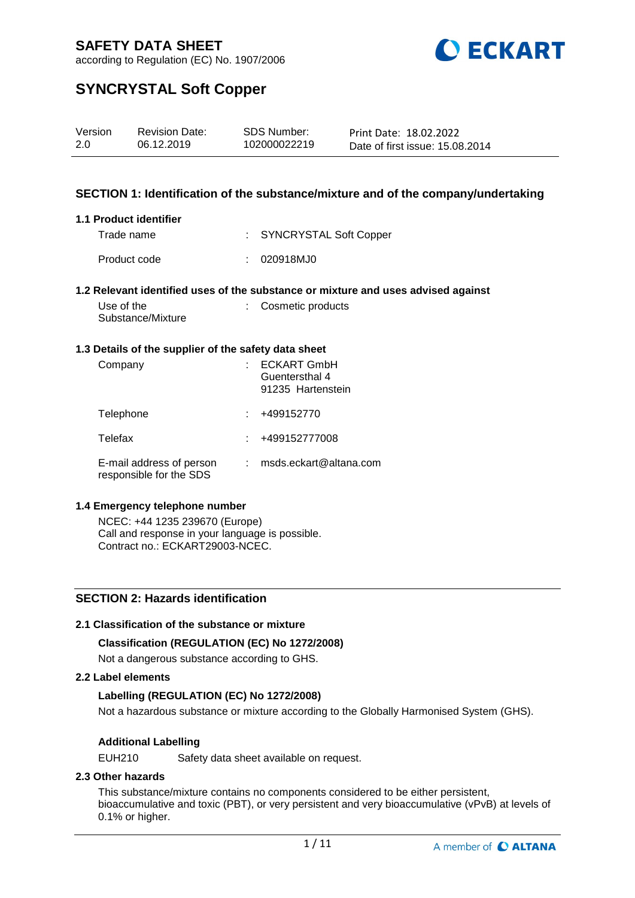

according to Regulation (EC) No. 1907/2006

# **SYNCRYSTAL Soft Copper**

| Version | <b>Revision Date:</b> | SDS Number:  | Print Date: 18.02.2022          |
|---------|-----------------------|--------------|---------------------------------|
| 2.0     | 06.12.2019            | 102000022219 | Date of first issue: 15.08.2014 |

### **SECTION 1: Identification of the substance/mixture and of the company/undertaking**

#### **1.1 Product identifier**

Trade name : SYNCRYSTAL Soft Copper Product code : 020918MJ0

#### **1.2 Relevant identified uses of the substance or mixture and uses advised against**

| Use of the        | : Cosmetic products |
|-------------------|---------------------|
| Substance/Mixture |                     |

#### **1.3 Details of the supplier of the safety data sheet**

| Company                                             | <b>ECKART GmbH</b><br>Guentersthal 4<br>91235 Hartenstein |
|-----------------------------------------------------|-----------------------------------------------------------|
| Telephone                                           | +499152770                                                |
| Telefax                                             | +499152777008                                             |
| E-mail address of person<br>responsible for the SDS | msds.eckart@altana.com                                    |

#### **1.4 Emergency telephone number**

NCEC: +44 1235 239670 (Europe) Call and response in your language is possible. Contract no.: ECKART29003-NCEC.

### **SECTION 2: Hazards identification**

### **2.1 Classification of the substance or mixture**

### **Classification (REGULATION (EC) No 1272/2008)**

Not a dangerous substance according to GHS.

### **2.2 Label elements**

### **Labelling (REGULATION (EC) No 1272/2008)**

Not a hazardous substance or mixture according to the Globally Harmonised System (GHS).

### **Additional Labelling**

EUH210 Safety data sheet available on request.

## **2.3 Other hazards**

This substance/mixture contains no components considered to be either persistent, bioaccumulative and toxic (PBT), or very persistent and very bioaccumulative (vPvB) at levels of 0.1% or higher.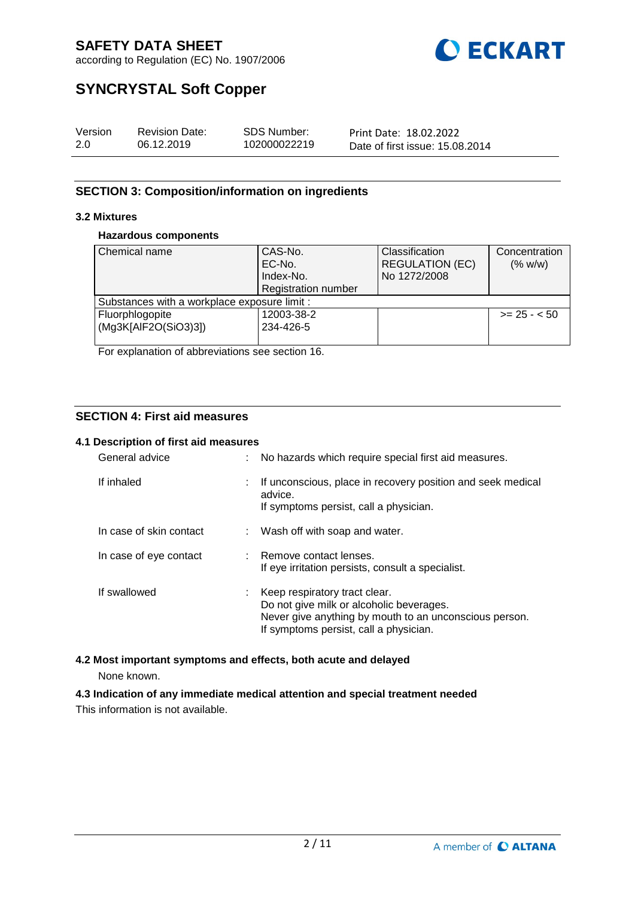

according to Regulation (EC) No. 1907/2006

# **SYNCRYSTAL Soft Copper**

| Version | <b>Revision Date:</b> | SDS Number:  | Print Date: 18.02.2022          |
|---------|-----------------------|--------------|---------------------------------|
| 2.0     | 06.12.2019            | 102000022219 | Date of first issue: 15.08.2014 |

# **SECTION 3: Composition/information on ingredients**

## **3.2 Mixtures**

### **Hazardous components**

| Chemical name                                | CAS-No.                    | Classification         | Concentration |
|----------------------------------------------|----------------------------|------------------------|---------------|
|                                              | EC-No.                     | <b>REGULATION (EC)</b> | (% w/w)       |
|                                              | Index-No.                  | No 1272/2008           |               |
|                                              |                            |                        |               |
|                                              | <b>Registration number</b> |                        |               |
| Substances with a workplace exposure limit : |                            |                        |               |
| Fluorphlogopite                              | 12003-38-2                 |                        | $>= 25 - 50$  |
| (Mg3K[AlF2O(SiO3)3])                         | 234-426-5                  |                        |               |
|                                              |                            |                        |               |

For explanation of abbreviations see section 16.

# **SECTION 4: First aid measures**

## **4.1 Description of first aid measures**

| General advice          |    | No hazards which require special first aid measures.                                                                                                                          |
|-------------------------|----|-------------------------------------------------------------------------------------------------------------------------------------------------------------------------------|
| If inhaled              | ÷. | If unconscious, place in recovery position and seek medical<br>advice.<br>If symptoms persist, call a physician.                                                              |
| In case of skin contact |    | : Wash off with soap and water.                                                                                                                                               |
| In case of eye contact  |    | Remove contact lenses.<br>If eye irritation persists, consult a specialist.                                                                                                   |
| If swallowed            |    | Keep respiratory tract clear.<br>Do not give milk or alcoholic beverages.<br>Never give anything by mouth to an unconscious person.<br>If symptoms persist, call a physician. |

# **4.2 Most important symptoms and effects, both acute and delayed**

None known.

**4.3 Indication of any immediate medical attention and special treatment needed** This information is not available.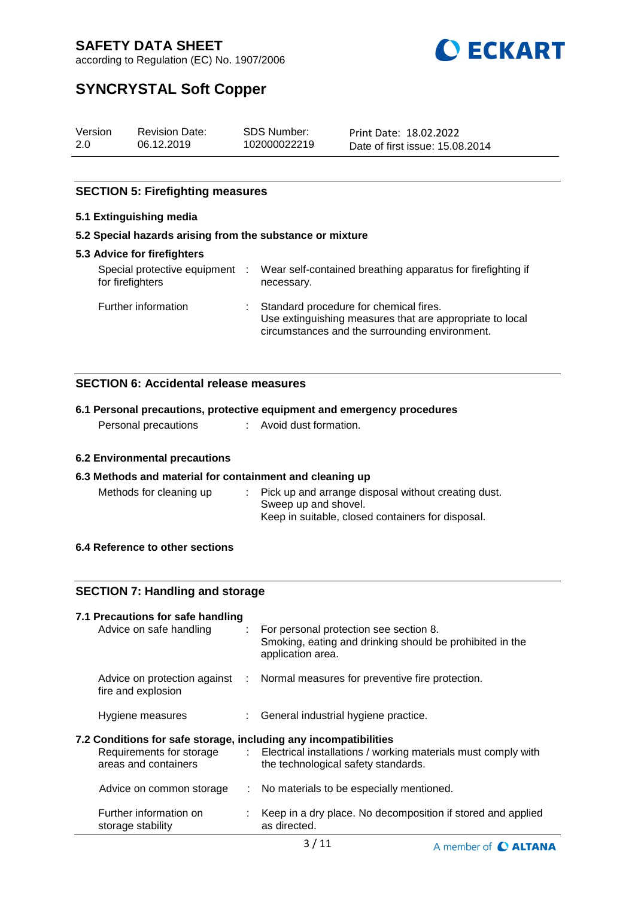

according to Regulation (EC) No. 1907/2006

# **SYNCRYSTAL Soft Copper**

| Version | <b>Revision Date:</b> | SDS Number:  | Print Date: 18.02.2022          |
|---------|-----------------------|--------------|---------------------------------|
| 2.0     | 06.12.2019            | 102000022219 | Date of first issue: 15,08,2014 |

## **SECTION 5: Firefighting measures**

### **5.1 Extinguishing media**

# **5.2 Special hazards arising from the substance or mixture**

| <b>5.3 Advice for firefighters</b>               |     |                                                                                                                                                        |
|--------------------------------------------------|-----|--------------------------------------------------------------------------------------------------------------------------------------------------------|
| Special protective equipment<br>for firefighters | -11 | Wear self-contained breathing apparatus for firefighting if<br>necessary.                                                                              |
| Further information                              |     | : Standard procedure for chemical fires.<br>Use extinguishing measures that are appropriate to local<br>circumstances and the surrounding environment. |

## **SECTION 6: Accidental release measures**

## **6.1 Personal precautions, protective equipment and emergency procedures**

Personal precautions : Avoid dust formation.

### **6.2 Environmental precautions**

### **6.3 Methods and material for containment and cleaning up**

| Methods for cleaning up | : Pick up and arrange disposal without creating dust.<br>Sweep up and shovel. |
|-------------------------|-------------------------------------------------------------------------------|
|                         | Keep in suitable, closed containers for disposal.                             |

### **6.4 Reference to other sections**

## **SECTION 7: Handling and storage**

## **7.1 Precautions for safe handling**

| Advice on safe handling                                                                                              |       | For personal protection see section 8.<br>Smoking, eating and drinking should be prohibited in the<br>application area. |
|----------------------------------------------------------------------------------------------------------------------|-------|-------------------------------------------------------------------------------------------------------------------------|
| Advice on protection against<br>fire and explosion                                                                   | diam. | Normal measures for preventive fire protection.                                                                         |
| Hygiene measures                                                                                                     |       | : General industrial hygiene practice.                                                                                  |
| 7.2 Conditions for safe storage, including any incompatibilities<br>Requirements for storage<br>areas and containers |       | : Electrical installations / working materials must comply with<br>the technological safety standards.                  |
| Advice on common storage                                                                                             |       | : No materials to be especially mentioned.                                                                              |
| Further information on<br>storage stability                                                                          |       | Keep in a dry place. No decomposition if stored and applied<br>as directed.                                             |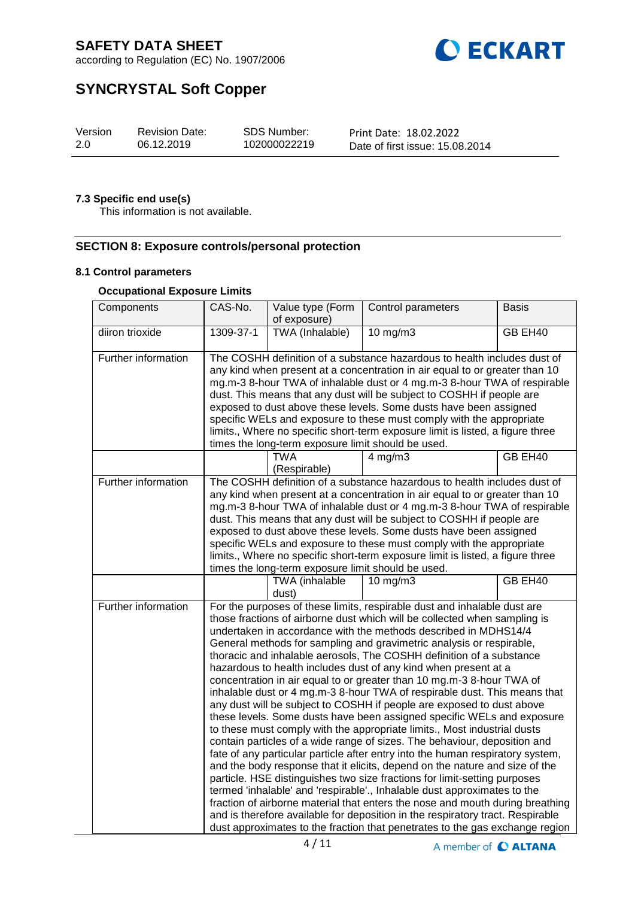

according to Regulation (EC) No. 1907/2006

# **SYNCRYSTAL Soft Copper**

| Version | <b>Revision Date:</b> | SDS Number:  | Print Date: 18.02.2022          |
|---------|-----------------------|--------------|---------------------------------|
| 2.0     | 06.12.2019            | 102000022219 | Date of first issue: 15,08,2014 |

# **7.3 Specific end use(s)**

This information is not available.

### **SECTION 8: Exposure controls/personal protection**

#### **8.1 Control parameters**

### **Occupational Exposure Limits**

| Components          | CAS-No.                                                                                                                                                                                                                                                                                                                                                                                                                                                                                                                                                                                           | Value type (Form<br>of exposure)                   | Control parameters                                                                                                                                                                                                                                                                                                                                                                                                                                                                                                                                                                                                                                                                                                                                                                                                                                                                                                                                                                                                                                                                                                                                                                                                                                                                                                                                                                                                                                                                         | <b>Basis</b> |  |  |
|---------------------|---------------------------------------------------------------------------------------------------------------------------------------------------------------------------------------------------------------------------------------------------------------------------------------------------------------------------------------------------------------------------------------------------------------------------------------------------------------------------------------------------------------------------------------------------------------------------------------------------|----------------------------------------------------|--------------------------------------------------------------------------------------------------------------------------------------------------------------------------------------------------------------------------------------------------------------------------------------------------------------------------------------------------------------------------------------------------------------------------------------------------------------------------------------------------------------------------------------------------------------------------------------------------------------------------------------------------------------------------------------------------------------------------------------------------------------------------------------------------------------------------------------------------------------------------------------------------------------------------------------------------------------------------------------------------------------------------------------------------------------------------------------------------------------------------------------------------------------------------------------------------------------------------------------------------------------------------------------------------------------------------------------------------------------------------------------------------------------------------------------------------------------------------------------------|--------------|--|--|
| diiron trioxide     | 1309-37-1                                                                                                                                                                                                                                                                                                                                                                                                                                                                                                                                                                                         | TWA (Inhalable)                                    | $10$ mg/m $3$                                                                                                                                                                                                                                                                                                                                                                                                                                                                                                                                                                                                                                                                                                                                                                                                                                                                                                                                                                                                                                                                                                                                                                                                                                                                                                                                                                                                                                                                              | GB EH40      |  |  |
| Further information | The COSHH definition of a substance hazardous to health includes dust of<br>any kind when present at a concentration in air equal to or greater than 10<br>mg.m-3 8-hour TWA of inhalable dust or 4 mg.m-3 8-hour TWA of respirable<br>dust. This means that any dust will be subject to COSHH if people are<br>exposed to dust above these levels. Some dusts have been assigned<br>specific WELs and exposure to these must comply with the appropriate<br>limits., Where no specific short-term exposure limit is listed, a figure three<br>times the long-term exposure limit should be used. |                                                    |                                                                                                                                                                                                                                                                                                                                                                                                                                                                                                                                                                                                                                                                                                                                                                                                                                                                                                                                                                                                                                                                                                                                                                                                                                                                                                                                                                                                                                                                                            |              |  |  |
|                     |                                                                                                                                                                                                                                                                                                                                                                                                                                                                                                                                                                                                   | <b>TWA</b><br>(Respirable)                         | $4$ mg/m $3$                                                                                                                                                                                                                                                                                                                                                                                                                                                                                                                                                                                                                                                                                                                                                                                                                                                                                                                                                                                                                                                                                                                                                                                                                                                                                                                                                                                                                                                                               | GB EH40      |  |  |
| Further information |                                                                                                                                                                                                                                                                                                                                                                                                                                                                                                                                                                                                   | times the long-term exposure limit should be used. | The COSHH definition of a substance hazardous to health includes dust of<br>any kind when present at a concentration in air equal to or greater than 10<br>mg.m-3 8-hour TWA of inhalable dust or 4 mg.m-3 8-hour TWA of respirable<br>dust. This means that any dust will be subject to COSHH if people are<br>exposed to dust above these levels. Some dusts have been assigned<br>specific WELs and exposure to these must comply with the appropriate<br>limits., Where no specific short-term exposure limit is listed, a figure three                                                                                                                                                                                                                                                                                                                                                                                                                                                                                                                                                                                                                                                                                                                                                                                                                                                                                                                                                |              |  |  |
|                     |                                                                                                                                                                                                                                                                                                                                                                                                                                                                                                                                                                                                   | TWA (inhalable<br>dust)                            | 10 mg/m3                                                                                                                                                                                                                                                                                                                                                                                                                                                                                                                                                                                                                                                                                                                                                                                                                                                                                                                                                                                                                                                                                                                                                                                                                                                                                                                                                                                                                                                                                   | GB EH40      |  |  |
| Further information |                                                                                                                                                                                                                                                                                                                                                                                                                                                                                                                                                                                                   |                                                    | For the purposes of these limits, respirable dust and inhalable dust are<br>those fractions of airborne dust which will be collected when sampling is<br>undertaken in accordance with the methods described in MDHS14/4<br>General methods for sampling and gravimetric analysis or respirable,<br>thoracic and inhalable aerosols, The COSHH definition of a substance<br>hazardous to health includes dust of any kind when present at a<br>concentration in air equal to or greater than 10 mg.m-3 8-hour TWA of<br>inhalable dust or 4 mg.m-3 8-hour TWA of respirable dust. This means that<br>any dust will be subject to COSHH if people are exposed to dust above<br>these levels. Some dusts have been assigned specific WELs and exposure<br>to these must comply with the appropriate limits., Most industrial dusts<br>contain particles of a wide range of sizes. The behaviour, deposition and<br>fate of any particular particle after entry into the human respiratory system,<br>and the body response that it elicits, depend on the nature and size of the<br>particle. HSE distinguishes two size fractions for limit-setting purposes<br>termed 'inhalable' and 'respirable'., Inhalable dust approximates to the<br>fraction of airborne material that enters the nose and mouth during breathing<br>and is therefore available for deposition in the respiratory tract. Respirable<br>dust approximates to the fraction that penetrates to the gas exchange region |              |  |  |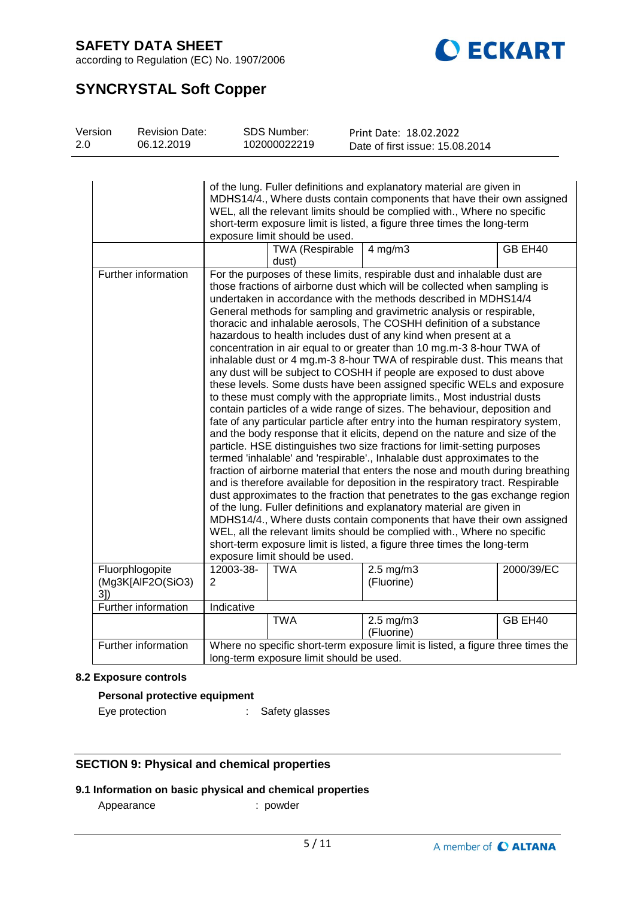

according to Regulation (EC) No. 1907/2006

# **SYNCRYSTAL Soft Copper**

| Version | <b>Revision Date:</b> | SDS Number:  | Print Date: 18.02.2022          |  |
|---------|-----------------------|--------------|---------------------------------|--|
| 2.0     | 06.12.2019            | 102000022219 | Date of first issue: 15.08.2014 |  |
|         |                       |              |                                 |  |

|                                      |                                                                                                                             |                                 | of the lung. Fuller definitions and explanatory material are given in<br>MDHS14/4., Where dusts contain components that have their own assigned<br>WEL, all the relevant limits should be complied with., Where no specific<br>short-term exposure limit is listed, a figure three times the long-term                                                                                                                                                                                                                                                                                                                                                                                                                                                                                                                                                                                                                                                                                                                                                                                                                                                                                                                                                                                                                                                                                                                                                                                                                                                                                                                                                                                                                                                                                               |            |  |  |
|--------------------------------------|-----------------------------------------------------------------------------------------------------------------------------|---------------------------------|------------------------------------------------------------------------------------------------------------------------------------------------------------------------------------------------------------------------------------------------------------------------------------------------------------------------------------------------------------------------------------------------------------------------------------------------------------------------------------------------------------------------------------------------------------------------------------------------------------------------------------------------------------------------------------------------------------------------------------------------------------------------------------------------------------------------------------------------------------------------------------------------------------------------------------------------------------------------------------------------------------------------------------------------------------------------------------------------------------------------------------------------------------------------------------------------------------------------------------------------------------------------------------------------------------------------------------------------------------------------------------------------------------------------------------------------------------------------------------------------------------------------------------------------------------------------------------------------------------------------------------------------------------------------------------------------------------------------------------------------------------------------------------------------------|------------|--|--|
|                                      |                                                                                                                             | exposure limit should be used.  |                                                                                                                                                                                                                                                                                                                                                                                                                                                                                                                                                                                                                                                                                                                                                                                                                                                                                                                                                                                                                                                                                                                                                                                                                                                                                                                                                                                                                                                                                                                                                                                                                                                                                                                                                                                                      |            |  |  |
|                                      |                                                                                                                             | <b>TWA (Respirable</b><br>dust) | $4$ mg/m $3$                                                                                                                                                                                                                                                                                                                                                                                                                                                                                                                                                                                                                                                                                                                                                                                                                                                                                                                                                                                                                                                                                                                                                                                                                                                                                                                                                                                                                                                                                                                                                                                                                                                                                                                                                                                         | GB EH40    |  |  |
| Further information                  |                                                                                                                             | exposure limit should be used.  | For the purposes of these limits, respirable dust and inhalable dust are<br>those fractions of airborne dust which will be collected when sampling is<br>undertaken in accordance with the methods described in MDHS14/4<br>General methods for sampling and gravimetric analysis or respirable,<br>thoracic and inhalable aerosols, The COSHH definition of a substance<br>hazardous to health includes dust of any kind when present at a<br>concentration in air equal to or greater than 10 mg.m-3 8-hour TWA of<br>inhalable dust or 4 mg.m-3 8-hour TWA of respirable dust. This means that<br>any dust will be subject to COSHH if people are exposed to dust above<br>these levels. Some dusts have been assigned specific WELs and exposure<br>to these must comply with the appropriate limits., Most industrial dusts<br>contain particles of a wide range of sizes. The behaviour, deposition and<br>fate of any particular particle after entry into the human respiratory system,<br>and the body response that it elicits, depend on the nature and size of the<br>particle. HSE distinguishes two size fractions for limit-setting purposes<br>termed 'inhalable' and 'respirable'., Inhalable dust approximates to the<br>fraction of airborne material that enters the nose and mouth during breathing<br>and is therefore available for deposition in the respiratory tract. Respirable<br>dust approximates to the fraction that penetrates to the gas exchange region<br>of the lung. Fuller definitions and explanatory material are given in<br>MDHS14/4., Where dusts contain components that have their own assigned<br>WEL, all the relevant limits should be complied with., Where no specific<br>short-term exposure limit is listed, a figure three times the long-term |            |  |  |
| Fluorphlogopite<br>(Mg3K[AlF2O(SiO3) | 12003-38-<br>2                                                                                                              | <b>TWA</b>                      | $2.5$ mg/m $3$<br>(Fluorine)                                                                                                                                                                                                                                                                                                                                                                                                                                                                                                                                                                                                                                                                                                                                                                                                                                                                                                                                                                                                                                                                                                                                                                                                                                                                                                                                                                                                                                                                                                                                                                                                                                                                                                                                                                         | 2000/39/EC |  |  |
| 3]                                   |                                                                                                                             |                                 |                                                                                                                                                                                                                                                                                                                                                                                                                                                                                                                                                                                                                                                                                                                                                                                                                                                                                                                                                                                                                                                                                                                                                                                                                                                                                                                                                                                                                                                                                                                                                                                                                                                                                                                                                                                                      |            |  |  |
| Further information                  | Indicative                                                                                                                  |                                 |                                                                                                                                                                                                                                                                                                                                                                                                                                                                                                                                                                                                                                                                                                                                                                                                                                                                                                                                                                                                                                                                                                                                                                                                                                                                                                                                                                                                                                                                                                                                                                                                                                                                                                                                                                                                      |            |  |  |
|                                      |                                                                                                                             | <b>TWA</b>                      | $2.5$ mg/m $3$<br>(Fluorine)                                                                                                                                                                                                                                                                                                                                                                                                                                                                                                                                                                                                                                                                                                                                                                                                                                                                                                                                                                                                                                                                                                                                                                                                                                                                                                                                                                                                                                                                                                                                                                                                                                                                                                                                                                         | GB EH40    |  |  |
| Further information                  | Where no specific short-term exposure limit is listed, a figure three times the<br>long-term exposure limit should be used. |                                 |                                                                                                                                                                                                                                                                                                                                                                                                                                                                                                                                                                                                                                                                                                                                                                                                                                                                                                                                                                                                                                                                                                                                                                                                                                                                                                                                                                                                                                                                                                                                                                                                                                                                                                                                                                                                      |            |  |  |

### **8.2 Exposure controls**

## **Personal protective equipment**

Eye protection : Safety glasses

# **SECTION 9: Physical and chemical properties**

### **9.1 Information on basic physical and chemical properties**

Appearance : powder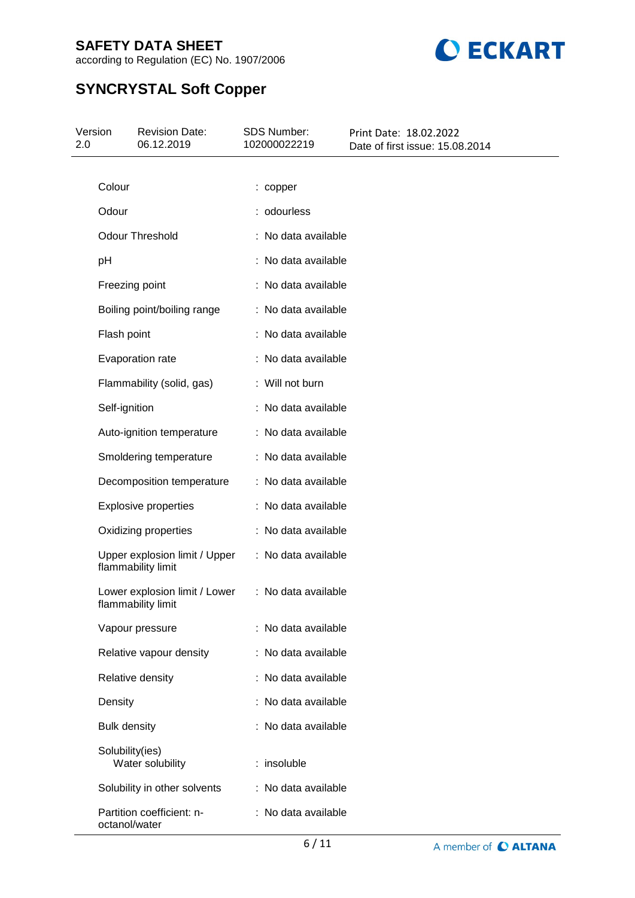

according to Regulation (EC) No. 1907/2006

# **SYNCRYSTAL Soft Copper**

| Version<br>2.0 | <b>Revision Date:</b><br>06.12.2019                 | <b>SDS Number:</b><br>102000022219 | Print Date: 18.02.2022<br>Date of first issue: 15.08.2014 |  |
|----------------|-----------------------------------------------------|------------------------------------|-----------------------------------------------------------|--|
|                |                                                     |                                    |                                                           |  |
|                | Colour                                              | : copper                           |                                                           |  |
|                | Odour                                               | : odourless                        |                                                           |  |
|                | <b>Odour Threshold</b>                              | : No data available                |                                                           |  |
|                | pH                                                  | : No data available                |                                                           |  |
|                | Freezing point                                      | : No data available                |                                                           |  |
|                | Boiling point/boiling range                         | : No data available                |                                                           |  |
|                | Flash point                                         | : No data available                |                                                           |  |
|                | Evaporation rate                                    | : No data available                |                                                           |  |
|                | Flammability (solid, gas)                           | : Will not burn                    |                                                           |  |
|                | Self-ignition                                       | : No data available                |                                                           |  |
|                | Auto-ignition temperature                           | : No data available                |                                                           |  |
|                | Smoldering temperature                              | : No data available                |                                                           |  |
|                | Decomposition temperature                           | : No data available                |                                                           |  |
|                | <b>Explosive properties</b>                         | : No data available                |                                                           |  |
|                | Oxidizing properties                                | : No data available                |                                                           |  |
|                | Upper explosion limit / Upper<br>flammability limit | : No data available                |                                                           |  |
|                | Lower explosion limit / Lower<br>flammability limit | : No data available                |                                                           |  |
|                | Vapour pressure                                     | : No data available                |                                                           |  |
|                | Relative vapour density                             | : No data available                |                                                           |  |
|                | Relative density                                    | : No data available                |                                                           |  |
|                | Density                                             | : No data available                |                                                           |  |
|                | <b>Bulk density</b>                                 | : No data available                |                                                           |  |
|                | Solubility(ies)<br>Water solubility                 | : insoluble                        |                                                           |  |
|                | Solubility in other solvents                        | : No data available                |                                                           |  |
|                | Partition coefficient: n-<br>octanol/water          | : No data available                |                                                           |  |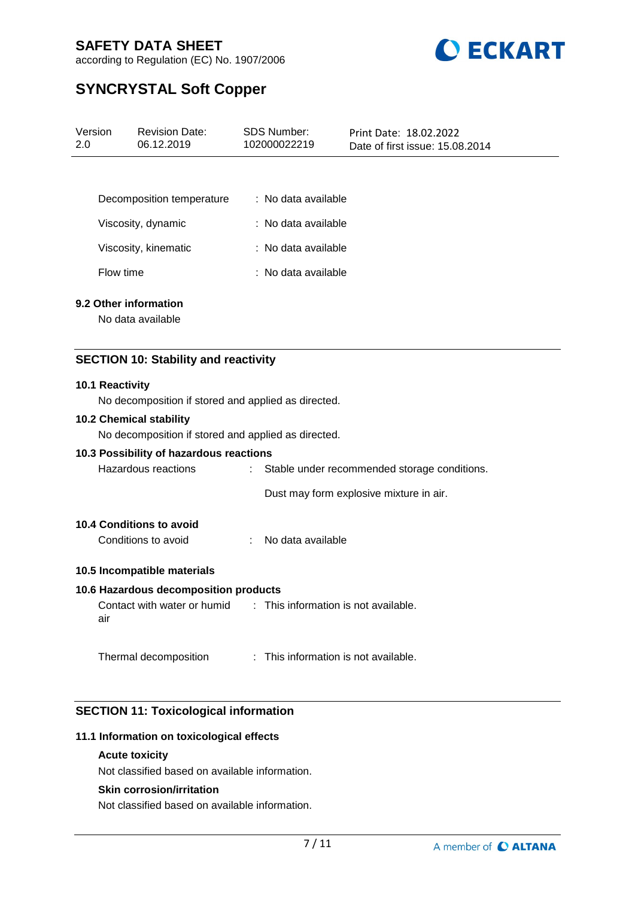

according to Regulation (EC) No. 1907/2006

# **SYNCRYSTAL Soft Copper**

| Version<br>2.0 |                 | <b>Revision Date:</b><br>06.12.2019                 |    | SDS Number:<br>102000022219          | Print Date: 18.02.2022<br>Date of first issue: 15.08.2014 |  |  |  |
|----------------|-----------------|-----------------------------------------------------|----|--------------------------------------|-----------------------------------------------------------|--|--|--|
|                |                 |                                                     |    |                                      |                                                           |  |  |  |
|                |                 | Decomposition temperature                           |    | : No data available                  |                                                           |  |  |  |
|                |                 | Viscosity, dynamic                                  |    | : No data available                  |                                                           |  |  |  |
|                |                 | Viscosity, kinematic                                |    | : No data available                  |                                                           |  |  |  |
|                | Flow time       |                                                     |    | : No data available                  |                                                           |  |  |  |
|                |                 | 9.2 Other information                               |    |                                      |                                                           |  |  |  |
|                |                 | No data available                                   |    |                                      |                                                           |  |  |  |
|                |                 | <b>SECTION 10: Stability and reactivity</b>         |    |                                      |                                                           |  |  |  |
|                | 10.1 Reactivity |                                                     |    |                                      |                                                           |  |  |  |
|                |                 | No decomposition if stored and applied as directed. |    |                                      |                                                           |  |  |  |
|                |                 | 10.2 Chemical stability                             |    |                                      |                                                           |  |  |  |
|                |                 | No decomposition if stored and applied as directed. |    |                                      |                                                           |  |  |  |
|                |                 | 10.3 Possibility of hazardous reactions             |    |                                      |                                                           |  |  |  |
|                |                 | Hazardous reactions                                 | ÷. |                                      | Stable under recommended storage conditions.              |  |  |  |
|                |                 |                                                     |    |                                      | Dust may form explosive mixture in air.                   |  |  |  |
|                |                 | <b>10.4 Conditions to avoid</b>                     |    |                                      |                                                           |  |  |  |
|                |                 | Conditions to avoid                                 | ÷  | No data available                    |                                                           |  |  |  |
|                |                 | 10.5 Incompatible materials                         |    |                                      |                                                           |  |  |  |
|                |                 | 10.6 Hazardous decomposition products               |    |                                      |                                                           |  |  |  |
|                | air             | Contact with water or humid                         |    | : This information is not available. |                                                           |  |  |  |
|                |                 | Thermal decomposition                               |    | : This information is not available. |                                                           |  |  |  |

# **SECTION 11: Toxicological information**

## **11.1 Information on toxicological effects**

### **Acute toxicity**

Not classified based on available information.

### **Skin corrosion/irritation**

Not classified based on available information.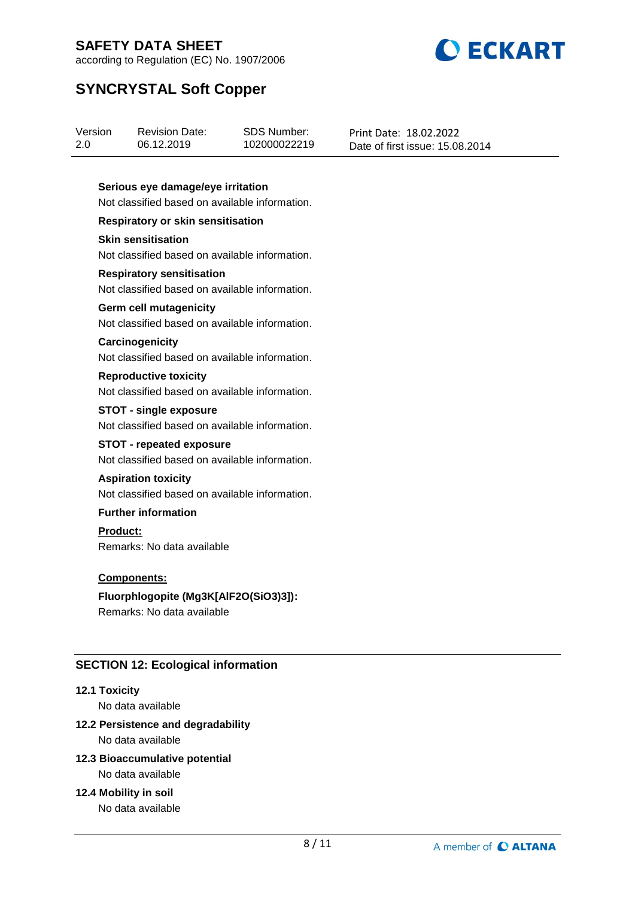

according to Regulation (EC) No. 1907/2006

# **SYNCRYSTAL Soft Copper**

| Version | <b>Revision Date:</b> | SDS Number:  | Print Date: 18.02.2022          |
|---------|-----------------------|--------------|---------------------------------|
| 2.0     | 06.12.2019            | 102000022219 | Date of first issue: 15.08.2014 |
|         |                       |              |                                 |

### **Serious eye damage/eye irritation**

Not classified based on available information.

# **Respiratory or skin sensitisation**

### **Skin sensitisation**

Not classified based on available information.

### **Respiratory sensitisation**

Not classified based on available information.

### **Germ cell mutagenicity**

Not classified based on available information.

#### **Carcinogenicity**

Not classified based on available information.

### **Reproductive toxicity**

Not classified based on available information.

### **STOT - single exposure**

Not classified based on available information.

# **STOT - repeated exposure**

Not classified based on available information.

### **Aspiration toxicity**

Not classified based on available information.

## **Further information**

### **Product:**

Remarks: No data available

### **Components:**

## **Fluorphlogopite (Mg3K[AlF2O(SiO3)3]):**

Remarks: No data available

## **SECTION 12: Ecological information**

### **12.1 Toxicity**

No data available

# **12.2 Persistence and degradability**

No data available

# **12.3 Bioaccumulative potential**

No data available

### **12.4 Mobility in soil**

No data available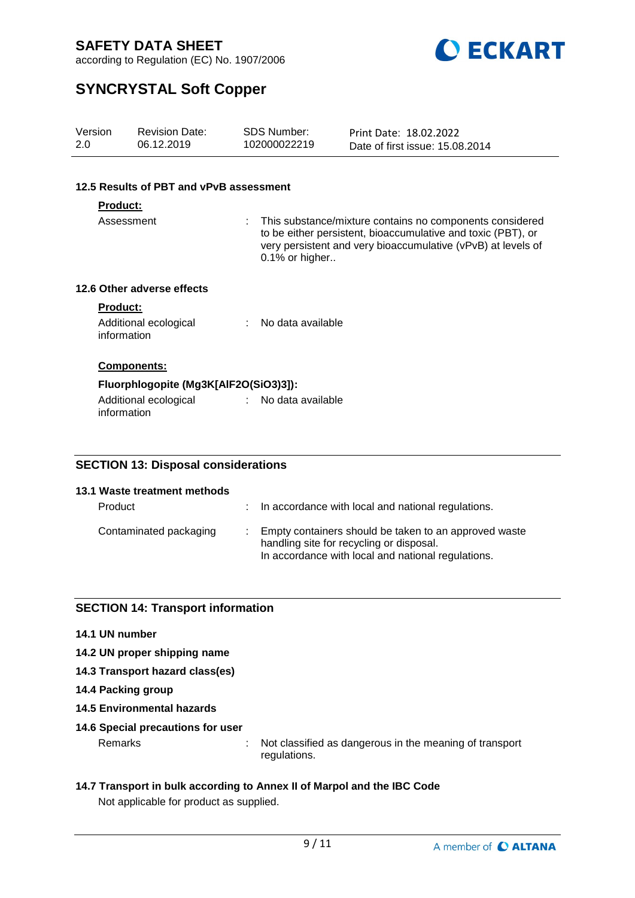

according to Regulation (EC) No. 1907/2006

# **SYNCRYSTAL Soft Copper**

| Version<br>2.0                | <b>Revision Date:</b><br>06.12.2019     |  | SDS Number:<br>102000022219                                                                                                                                                                                | Print Date: 18.02.2022<br>Date of first issue: 15.08.2014 |  |  |  |
|-------------------------------|-----------------------------------------|--|------------------------------------------------------------------------------------------------------------------------------------------------------------------------------------------------------------|-----------------------------------------------------------|--|--|--|
|                               | 12.5 Results of PBT and vPvB assessment |  |                                                                                                                                                                                                            |                                                           |  |  |  |
|                               |                                         |  |                                                                                                                                                                                                            |                                                           |  |  |  |
| <b>Product:</b><br>Assessment |                                         |  | This substance/mixture contains no components considered<br>to be either persistent, bioaccumulative and toxic (PBT), or<br>very persistent and very bioaccumulative (vPvB) at levels of<br>0.1% or higher |                                                           |  |  |  |
|                               | 12.6 Other adverse effects              |  |                                                                                                                                                                                                            |                                                           |  |  |  |
| <b>Product:</b>               |                                         |  |                                                                                                                                                                                                            |                                                           |  |  |  |
| information                   | Additional ecological                   |  | No data available                                                                                                                                                                                          |                                                           |  |  |  |
|                               | Components:                             |  |                                                                                                                                                                                                            |                                                           |  |  |  |
|                               | Fluorphlogopite (Mg3K[AlF2O(SiO3)3]):   |  |                                                                                                                                                                                                            |                                                           |  |  |  |
| information                   | Additional ecological                   |  | : No data available                                                                                                                                                                                        |                                                           |  |  |  |

## **SECTION 13: Disposal considerations**

| 13.1 Waste treatment methods<br>Product | : In accordance with local and national regulations.                                                                                                      |
|-----------------------------------------|-----------------------------------------------------------------------------------------------------------------------------------------------------------|
| Contaminated packaging                  | : Empty containers should be taken to an approved waste<br>handling site for recycling or disposal.<br>In accordance with local and national regulations. |

## **SECTION 14: Transport information**

- **14.1 UN number**
- **14.2 UN proper shipping name**
- **14.3 Transport hazard class(es)**
- **14.4 Packing group**
- **14.5 Environmental hazards**
- **14.6 Special precautions for user**

Remarks : Not classified as dangerous in the meaning of transport regulations.

**14.7 Transport in bulk according to Annex II of Marpol and the IBC Code** Not applicable for product as supplied.

9 / 11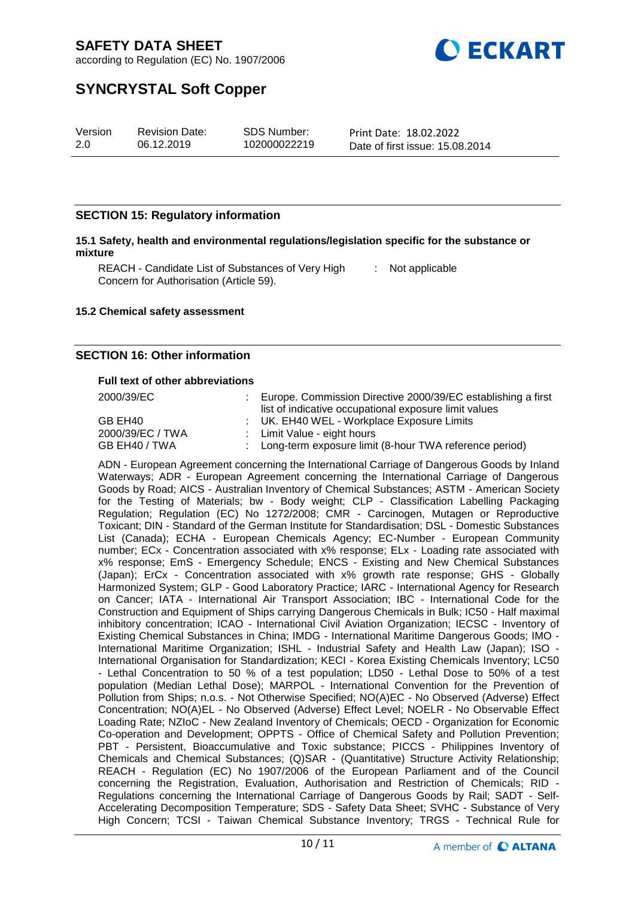

according to Regulation (EC) No. 1907/2006

# **SYNCRYSTAL Soft Copper**

| Version | <b>Revision Date:</b> | SDS Number:  | Print Date: 18.02.2022          |
|---------|-----------------------|--------------|---------------------------------|
| 2.0     | 06.12.2019            | 102000022219 | Date of first issue: 15.08.2014 |

### **SECTION 15: Regulatory information**

#### **15.1 Safety, health and environmental regulations/legislation specific for the substance or mixture**

REACH - Candidate List of Substances of Very High [155] Not applicable Concern for Authorisation (Article 59).

#### **15.2 Chemical safety assessment**

### **SECTION 16: Other information**

#### **Full text of other abbreviations**

2000/39/EC : Europe. Commission Directive 2000/39/EC establishing a first

| ∠ບບ∪/ວອ/⊏ບ       | Europe. Commission Directive Z000/39/EC establishing a first |
|------------------|--------------------------------------------------------------|
|                  | list of indicative occupational exposure limit values        |
| GB EH40          | : UK. EH40 WEL - Workplace Exposure Limits                   |
| 2000/39/EC / TWA | : Limit Value - eight hours                                  |
| GB EH40 / TWA    | : Long-term exposure limit (8-hour TWA reference period)     |

ADN - European Agreement concerning the International Carriage of Dangerous Goods by Inland Waterways; ADR - European Agreement concerning the International Carriage of Dangerous Goods by Road; AICS - Australian Inventory of Chemical Substances; ASTM - American Society for the Testing of Materials; bw - Body weight; CLP - Classification Labelling Packaging Regulation; Regulation (EC) No 1272/2008; CMR - Carcinogen, Mutagen or Reproductive Toxicant; DIN - Standard of the German Institute for Standardisation; DSL - Domestic Substances List (Canada); ECHA - European Chemicals Agency; EC-Number - European Community number; ECx - Concentration associated with x% response; ELx - Loading rate associated with x% response; EmS - Emergency Schedule; ENCS - Existing and New Chemical Substances (Japan); ErCx - Concentration associated with x% growth rate response; GHS - Globally Harmonized System; GLP - Good Laboratory Practice; IARC - International Agency for Research on Cancer; IATA - International Air Transport Association; IBC - International Code for the Construction and Equipment of Ships carrying Dangerous Chemicals in Bulk; IC50 - Half maximal inhibitory concentration; ICAO - International Civil Aviation Organization; IECSC - Inventory of Existing Chemical Substances in China; IMDG - International Maritime Dangerous Goods; IMO - International Maritime Organization; ISHL - Industrial Safety and Health Law (Japan); ISO - International Organisation for Standardization; KECI - Korea Existing Chemicals Inventory; LC50 - Lethal Concentration to 50 % of a test population; LD50 - Lethal Dose to 50% of a test population (Median Lethal Dose); MARPOL - International Convention for the Prevention of Pollution from Ships; n.o.s. - Not Otherwise Specified; NO(A)EC - No Observed (Adverse) Effect Concentration; NO(A)EL - No Observed (Adverse) Effect Level; NOELR - No Observable Effect Loading Rate; NZIoC - New Zealand Inventory of Chemicals; OECD - Organization for Economic Co-operation and Development; OPPTS - Office of Chemical Safety and Pollution Prevention; PBT - Persistent, Bioaccumulative and Toxic substance; PICCS - Philippines Inventory of Chemicals and Chemical Substances; (Q)SAR - (Quantitative) Structure Activity Relationship; REACH - Regulation (EC) No 1907/2006 of the European Parliament and of the Council concerning the Registration, Evaluation, Authorisation and Restriction of Chemicals; RID - Regulations concerning the International Carriage of Dangerous Goods by Rail; SADT - Self-Accelerating Decomposition Temperature; SDS - Safety Data Sheet; SVHC - Substance of Very High Concern; TCSI - Taiwan Chemical Substance Inventory; TRGS - Technical Rule for